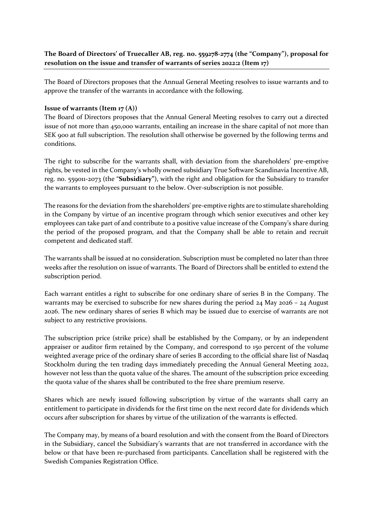The Board of Directors proposes that the Annual General Meeting resolves to issue warrants and to approve the transfer of the warrants in accordance with the following.

# **Issue of warrants (Item 17 (A))**

The Board of Directors proposes that the Annual General Meeting resolves to carry out a directed issue of not more than 450,000 warrants, entailing an increase in the share capital of not more than SEK 900 at full subscription. The resolution shall otherwise be governed by the following terms and conditions.

The right to subscribe for the warrants shall, with deviation from the shareholders' pre-emptive rights, be vested in the Company's wholly owned subsidiary True Software Scandinavia Incentive AB, reg. no. 559011-2073 (the "**Subsidiary"**), with the right and obligation for the Subsidiary to transfer the warrants to employees pursuant to the below. Over-subscription is not possible.

The reasons for the deviation from the shareholders' pre-emptive rights are to stimulate shareholding in the Company by virtue of an incentive program through which senior executives and other key employees can take part of and contribute to a positive value increase of the Company's share during the period of the proposed program, and that the Company shall be able to retain and recruit competent and dedicated staff.

The warrants shall be issued at no consideration. Subscription must be completed no later than three weeks after the resolution on issue of warrants. The Board of Directors shall be entitled to extend the subscription period.

Each warrant entitles a right to subscribe for one ordinary share of series B in the Company. The warrants may be exercised to subscribe for new shares during the period 24 May 2026 – 24 August 2026. The new ordinary shares of series B which may be issued due to exercise of warrants are not subject to any restrictive provisions.

The subscription price (strike price) shall be established by the Company, or by an independent appraiser or auditor firm retained by the Company, and correspond to 150 percent of the volume weighted average price of the ordinary share of series B according to the official share list of Nasdaq Stockholm during the ten trading days immediately preceding the Annual General Meeting 2022, however not less than the quota value of the shares. The amount of the subscription price exceeding the quota value of the shares shall be contributed to the free share premium reserve.

Shares which are newly issued following subscription by virtue of the warrants shall carry an entitlement to participate in dividends for the first time on the next record date for dividends which occurs after subscription for shares by virtue of the utilization of the warrants is effected.

The Company may, by means of a board resolution and with the consent from the Board of Directors in the Subsidiary, cancel the Subsidiary's warrants that are not transferred in accordance with the below or that have been re-purchased from participants. Cancellation shall be registered with the Swedish Companies Registration Office.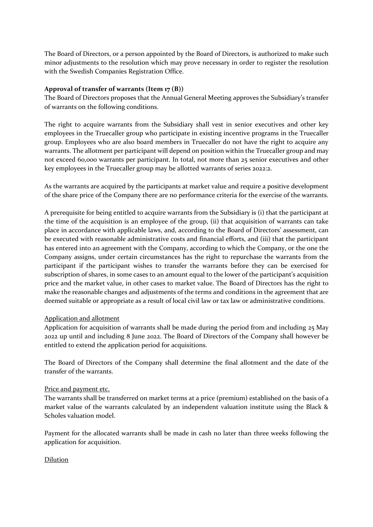The Board of Directors, or a person appointed by the Board of Directors, is authorized to make such minor adjustments to the resolution which may prove necessary in order to register the resolution with the Swedish Companies Registration Office.

### **Approval of transfer of warrants (Item 17 (B))**

The Board of Directors proposes that the Annual General Meeting approves the Subsidiary's transfer of warrants on the following conditions.

The right to acquire warrants from the Subsidiary shall vest in senior executives and other key employees in the Truecaller group who participate in existing incentive programs in the Truecaller group. Employees who are also board members in Truecaller do not have the right to acquire any warrants. The allotment per participant will depend on position within the Truecaller group and may not exceed 60,000 warrants per participant. In total, not more than 25 senior executives and other key employees in the Truecaller group may be allotted warrants of series 2022:2.

As the warrants are acquired by the participants at market value and require a positive development of the share price of the Company there are no performance criteria for the exercise of the warrants.

A prerequisite for being entitled to acquire warrants from the Subsidiary is (i) that the participant at the time of the acquisition is an employee of the group, (ii) that acquisition of warrants can take place in accordance with applicable laws, and, according to the Board of Directors' assessment, can be executed with reasonable administrative costs and financial efforts, and (iii) that the participant has entered into an agreement with the Company, according to which the Company, or the one the Company assigns, under certain circumstances has the right to repurchase the warrants from the participant if the participant wishes to transfer the warrants before they can be exercised for subscription of shares, in some cases to an amount equal to the lower of the participant's acquisition price and the market value, in other cases to market value. The Board of Directors has the right to make the reasonable changes and adjustments of the terms and conditions in the agreement that are deemed suitable or appropriate as a result of local civil law or tax law or administrative conditions.

### Application and allotment

Application for acquisition of warrants shall be made during the period from and including 25 May 2022 up until and including 8 June 2022. The Board of Directors of the Company shall however be entitled to extend the application period for acquisitions.

The Board of Directors of the Company shall determine the final allotment and the date of the transfer of the warrants.

### Price and payment etc.

The warrants shall be transferred on market terms at a price (premium) established on the basis of a market value of the warrants calculated by an independent valuation institute using the Black & Scholes valuation model.

Payment for the allocated warrants shall be made in cash no later than three weeks following the application for acquisition.

Dilution